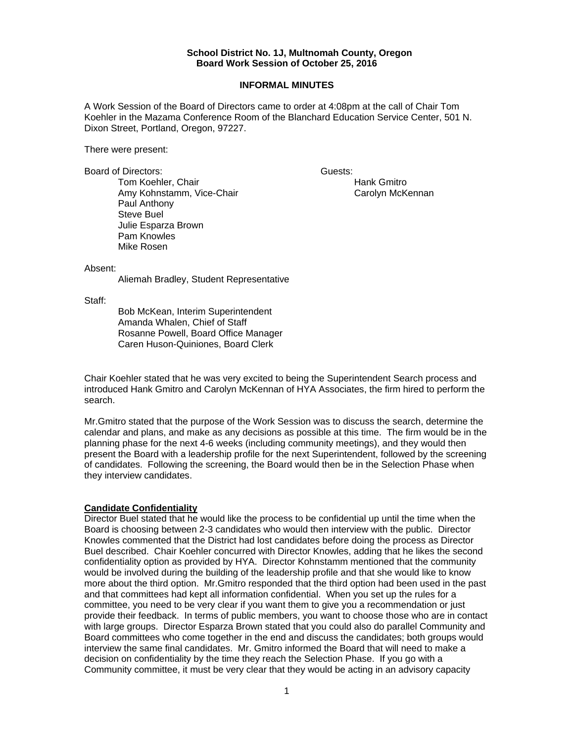#### **School District No. 1J, Multnomah County, Oregon Board Work Session of October 25, 2016**

#### **INFORMAL MINUTES**

A Work Session of the Board of Directors came to order at 4:08pm at the call of Chair Tom Koehler in the Mazama Conference Room of the Blanchard Education Service Center, 501 N. Dixon Street, Portland, Oregon, 97227.

There were present:

Board of Directors: Guests: Guests:

Tom Koehler, Chair **Hank Gmitro** Hank Gmitro Amy Kohnstamm, Vice-Chair Carolyn Carolyn McKennan Paul Anthony Steve Buel Julie Esparza Brown Pam Knowles Mike Rosen

Absent:

Aliemah Bradley, Student Representative

Staff:

 Bob McKean, Interim Superintendent Amanda Whalen, Chief of Staff Rosanne Powell, Board Office Manager Caren Huson-Quiniones, Board Clerk

Chair Koehler stated that he was very excited to being the Superintendent Search process and introduced Hank Gmitro and Carolyn McKennan of HYA Associates, the firm hired to perform the search.

Mr.Gmitro stated that the purpose of the Work Session was to discuss the search, determine the calendar and plans, and make as any decisions as possible at this time. The firm would be in the planning phase for the next 4-6 weeks (including community meetings), and they would then present the Board with a leadership profile for the next Superintendent, followed by the screening of candidates. Following the screening, the Board would then be in the Selection Phase when they interview candidates.

### **Candidate Confidentiality**

Director Buel stated that he would like the process to be confidential up until the time when the Board is choosing between 2-3 candidates who would then interview with the public. Director Knowles commented that the District had lost candidates before doing the process as Director Buel described. Chair Koehler concurred with Director Knowles, adding that he likes the second confidentiality option as provided by HYA. Director Kohnstamm mentioned that the community would be involved during the building of the leadership profile and that she would like to know more about the third option. Mr.Gmitro responded that the third option had been used in the past and that committees had kept all information confidential. When you set up the rules for a committee, you need to be very clear if you want them to give you a recommendation or just provide their feedback. In terms of public members, you want to choose those who are in contact with large groups. Director Esparza Brown stated that you could also do parallel Community and Board committees who come together in the end and discuss the candidates; both groups would interview the same final candidates. Mr. Gmitro informed the Board that will need to make a decision on confidentiality by the time they reach the Selection Phase. If you go with a Community committee, it must be very clear that they would be acting in an advisory capacity